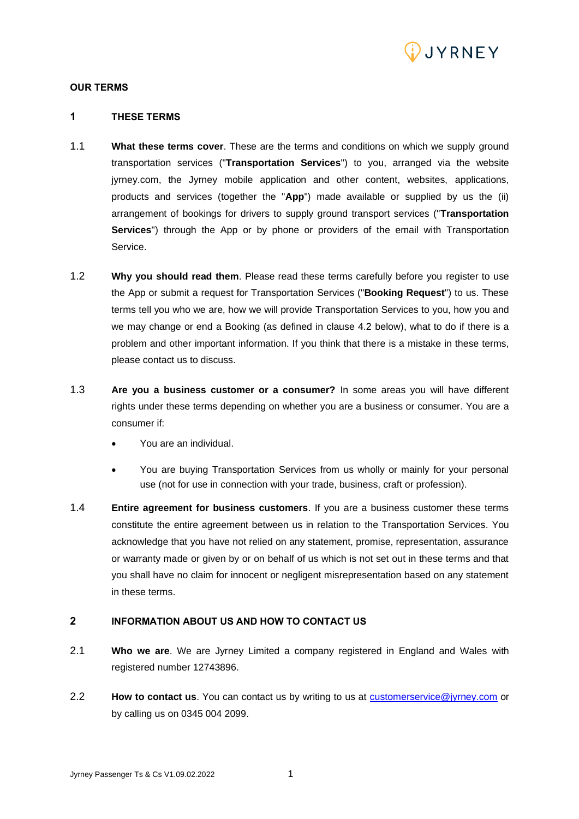

#### **OUR TERMS**

# **1 THESE TERMS**

- 1.1 **What these terms cover**. These are the terms and conditions on which we supply ground transportation services ("**Transportation Services**") to you, arranged via the website jyrney.com, the Jyrney mobile application and other content, websites, applications, products and services (together the "**App**") made available or supplied by us the (ii) arrangement of bookings for drivers to supply ground transport services ("**Transportation Services**") through the App or by phone or providers of the email with Transportation Service.
- 1.2 **Why you should read them**. Please read these terms carefully before you register to use the App or submit a request for Transportation Services ("**Booking Request**") to us. These terms tell you who we are, how we will provide Transportation Services to you, how you and we may change or end a Booking (as defined in clause 4.2 below), what to do if there is a problem and other important information. If you think that there is a mistake in these terms, please contact us to discuss.
- 1.3 **Are you a business customer or a consumer?** In some areas you will have different rights under these terms depending on whether you are a business or consumer. You are a consumer if:
	- You are an individual.
	- You are buying Transportation Services from us wholly or mainly for your personal use (not for use in connection with your trade, business, craft or profession).
- 1.4 **Entire agreement for business customers**. If you are a business customer these terms constitute the entire agreement between us in relation to the Transportation Services. You acknowledge that you have not relied on any statement, promise, representation, assurance or warranty made or given by or on behalf of us which is not set out in these terms and that you shall have no claim for innocent or negligent misrepresentation based on any statement in these terms.

### **2 INFORMATION ABOUT US AND HOW TO CONTACT US**

- 2.1 **Who we are**. We are Jyrney Limited a company registered in England and Wales with registered number 12743896.
- 2.2 **How to contact us**. You can contact us by writing to us at **customerservice@jyrney.com** or by calling us on 0345 004 2099.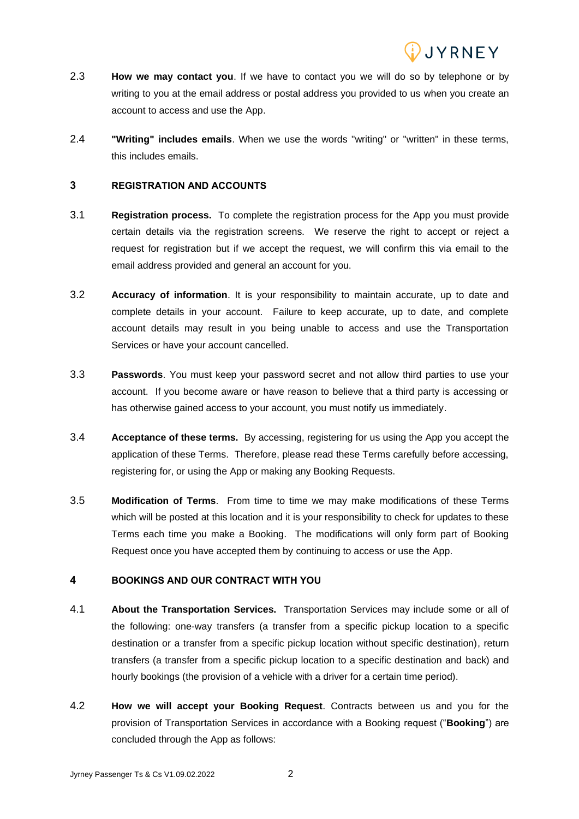

- 2.3 **How we may contact you**. If we have to contact you we will do so by telephone or by writing to you at the email address or postal address you provided to us when you create an account to access and use the App.
- 2.4 **"Writing" includes emails**. When we use the words "writing" or "written" in these terms, this includes emails.

## **3 REGISTRATION AND ACCOUNTS**

- 3.1 **Registration process.** To complete the registration process for the App you must provide certain details via the registration screens. We reserve the right to accept or reject a request for registration but if we accept the request, we will confirm this via email to the email address provided and general an account for you.
- 3.2 **Accuracy of information**. It is your responsibility to maintain accurate, up to date and complete details in your account. Failure to keep accurate, up to date, and complete account details may result in you being unable to access and use the Transportation Services or have your account cancelled.
- 3.3 **Passwords**. You must keep your password secret and not allow third parties to use your account. If you become aware or have reason to believe that a third party is accessing or has otherwise gained access to your account, you must notify us immediately.
- 3.4 **Acceptance of these terms.** By accessing, registering for us using the App you accept the application of these Terms. Therefore, please read these Terms carefully before accessing, registering for, or using the App or making any Booking Requests.
- 3.5 **Modification of Terms**. From time to time we may make modifications of these Terms which will be posted at this location and it is your responsibility to check for updates to these Terms each time you make a Booking. The modifications will only form part of Booking Request once you have accepted them by continuing to access or use the App.

## **4 BOOKINGS AND OUR CONTRACT WITH YOU**

- 4.1 **About the Transportation Services.** Transportation Services may include some or all of the following: one-way transfers (a transfer from a specific pickup location to a specific destination or a transfer from a specific pickup location without specific destination), return transfers (a transfer from a specific pickup location to a specific destination and back) and hourly bookings (the provision of a vehicle with a driver for a certain time period).
- 4.2 **How we will accept your Booking Request**. Contracts between us and you for the provision of Transportation Services in accordance with a Booking request ("**Booking**") are concluded through the App as follows: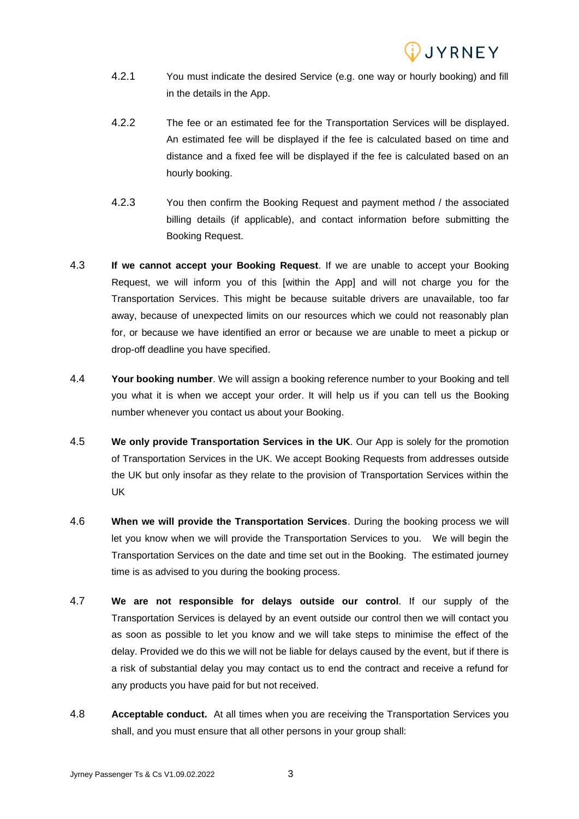

- 4.2.1 You must indicate the desired Service (e.g. one way or hourly booking) and fill in the details in the App.
- 4.2.2 The fee or an estimated fee for the Transportation Services will be displayed. An estimated fee will be displayed if the fee is calculated based on time and distance and a fixed fee will be displayed if the fee is calculated based on an hourly booking.
- 4.2.3 You then confirm the Booking Request and payment method / the associated billing details (if applicable), and contact information before submitting the Booking Request.
- 4.3 **If we cannot accept your Booking Request**. If we are unable to accept your Booking Request, we will inform you of this [within the App] and will not charge you for the Transportation Services. This might be because suitable drivers are unavailable, too far away, because of unexpected limits on our resources which we could not reasonably plan for, or because we have identified an error or because we are unable to meet a pickup or drop-off deadline you have specified.
- 4.4 **Your booking number**. We will assign a booking reference number to your Booking and tell you what it is when we accept your order. It will help us if you can tell us the Booking number whenever you contact us about your Booking.
- 4.5 **We only provide Transportation Services in the UK**. Our App is solely for the promotion of Transportation Services in the UK. We accept Booking Requests from addresses outside the UK but only insofar as they relate to the provision of Transportation Services within the UK
- 4.6 **When we will provide the Transportation Services**. During the booking process we will let you know when we will provide the Transportation Services to you. We will begin the Transportation Services on the date and time set out in the Booking. The estimated journey time is as advised to you during the booking process.
- 4.7 **We are not responsible for delays outside our control**. If our supply of the Transportation Services is delayed by an event outside our control then we will contact you as soon as possible to let you know and we will take steps to minimise the effect of the delay. Provided we do this we will not be liable for delays caused by the event, but if there is a risk of substantial delay you may contact us to end the contract and receive a refund for any products you have paid for but not received.
- 4.8 **Acceptable conduct.** At all times when you are receiving the Transportation Services you shall, and you must ensure that all other persons in your group shall: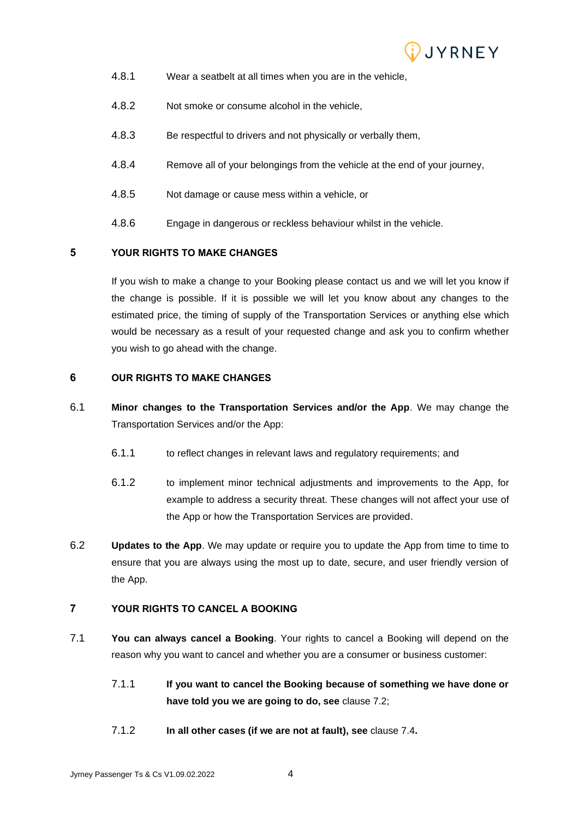

- 4.8.1 Wear a seatbelt at all times when you are in the vehicle,
- 4.8.2 Not smoke or consume alcohol in the vehicle,
- 4.8.3 Be respectful to drivers and not physically or verbally them,
- 4.8.4 Remove all of your belongings from the vehicle at the end of your journey,
- 4.8.5 Not damage or cause mess within a vehicle, or
- 4.8.6 Engage in dangerous or reckless behaviour whilst in the vehicle.

# **5 YOUR RIGHTS TO MAKE CHANGES**

If you wish to make a change to your Booking please contact us and we will let you know if the change is possible. If it is possible we will let you know about any changes to the estimated price, the timing of supply of the Transportation Services or anything else which would be necessary as a result of your requested change and ask you to confirm whether you wish to go ahead with the change.

## **6 OUR RIGHTS TO MAKE CHANGES**

- 6.1 **Minor changes to the Transportation Services and/or the App**. We may change the Transportation Services and/or the App:
	- 6.1.1 to reflect changes in relevant laws and regulatory requirements; and
	- 6.1.2 to implement minor technical adjustments and improvements to the App, for example to address a security threat. These changes will not affect your use of the App or how the Transportation Services are provided.
- 6.2 **Updates to the App**. We may update or require you to update the App from time to time to ensure that you are always using the most up to date, secure, and user friendly version of the App.

# **7 YOUR RIGHTS TO CANCEL A BOOKING**

- <span id="page-3-0"></span>7.1 **You can always cancel a Booking**. Your rights to cancel a Booking will depend on the reason why you want to cancel and whether you are a consumer or business customer:
	- 7.1.1 **If you want to cancel the Booking because of something we have done or have told you we are going to do, see** clause [7.2;](#page-4-0)
	- 7.1.2 **In all other cases (if we are not at fault), see** clause [7.4](#page-4-1)**.**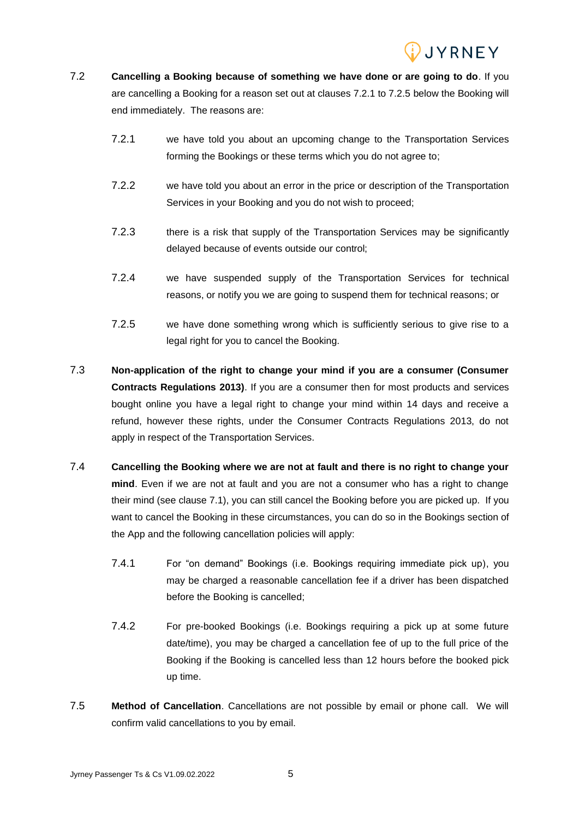

- <span id="page-4-0"></span>7.2 **Cancelling a Booking because of something we have done or are going to do**. If you are cancelling a Booking for a reason set out at clauses 7.2.1 to 7.2.5 below the Booking will end immediately. The reasons are:
	- 7.2.1 we have told you about an upcoming change to the Transportation Services forming the Bookings or these terms which you do not agree to;
	- 7.2.2 we have told you about an error in the price or description of the Transportation Services in your Booking and you do not wish to proceed;
	- 7.2.3 there is a risk that supply of the Transportation Services may be significantly delayed because of events outside our control;
	- 7.2.4 we have suspended supply of the Transportation Services for technical reasons, or notify you we are going to suspend them for technical reasons; or
	- 7.2.5 we have done something wrong which is sufficiently serious to give rise to a legal right for you to cancel the Booking.
- 7.3 **Non-application of the right to change your mind if you are a consumer (Consumer Contracts Regulations 2013)**. If you are a consumer then for most products and services bought online you have a legal right to change your mind within 14 days and receive a refund, however these rights, under the Consumer Contracts Regulations 2013, do not apply in respect of the Transportation Services.
- <span id="page-4-1"></span>7.4 **Cancelling the Booking where we are not at fault and there is no right to change your mind**. Even if we are not at fault and you are not a consumer who has a right to change their mind (see clause [7.1\)](#page-3-0), you can still cancel the Booking before you are picked up. If you want to cancel the Booking in these circumstances, you can do so in the Bookings section of the App and the following cancellation policies will apply:
	- 7.4.1 For "on demand" Bookings (i.e. Bookings requiring immediate pick up), you may be charged a reasonable cancellation fee if a driver has been dispatched before the Booking is cancelled;
	- 7.4.2 For pre-booked Bookings (i.e. Bookings requiring a pick up at some future date/time), you may be charged a cancellation fee of up to the full price of the Booking if the Booking is cancelled less than 12 hours before the booked pick up time.
- 7.5 **Method of Cancellation**. Cancellations are not possible by email or phone call. We will confirm valid cancellations to you by email.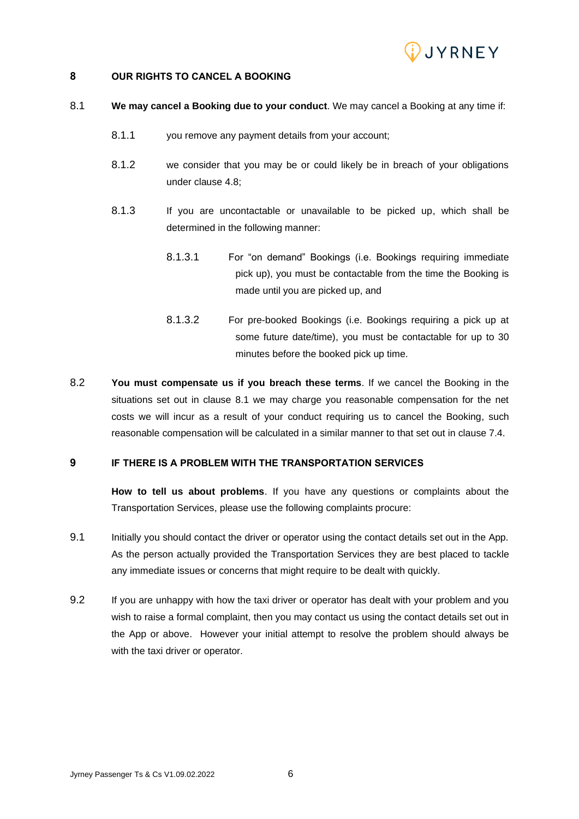

## **8 OUR RIGHTS TO CANCEL A BOOKING**

- <span id="page-5-0"></span>8.1 **We may cancel a Booking due to your conduct**. We may cancel a Booking at any time if:
	- 8.1.1 you remove any payment details from your account;
	- 8.1.2 we consider that you may be or could likely be in breach of your obligations under clause 4.8;
	- 8.1.3 If you are uncontactable or unavailable to be picked up, which shall be determined in the following manner:
		- 8.1.3.1 For "on demand" Bookings (i.e. Bookings requiring immediate pick up), you must be contactable from the time the Booking is made until you are picked up, and
		- 8.1.3.2 For pre-booked Bookings (i.e. Bookings requiring a pick up at some future date/time), you must be contactable for up to 30 minutes before the booked pick up time.
- 8.2 **You must compensate us if you breach these terms**. If we cancel the Booking in the situations set out in clause [8.1](#page-5-0) we may charge you reasonable compensation for the net costs we will incur as a result of your conduct requiring us to cancel the Booking, such reasonable compensation will be calculated in a similar manner to that set out in clause 7.4.

#### **9 IF THERE IS A PROBLEM WITH THE TRANSPORTATION SERVICES**

**How to tell us about problems**. If you have any questions or complaints about the Transportation Services, please use the following complaints procure:

- 9.1 Initially you should contact the driver or operator using the contact details set out in the App. As the person actually provided the Transportation Services they are best placed to tackle any immediate issues or concerns that might require to be dealt with quickly.
- 9.2 If you are unhappy with how the taxi driver or operator has dealt with your problem and you wish to raise a formal complaint, then you may contact us using the contact details set out in the App or above. However your initial attempt to resolve the problem should always be with the taxi driver or operator.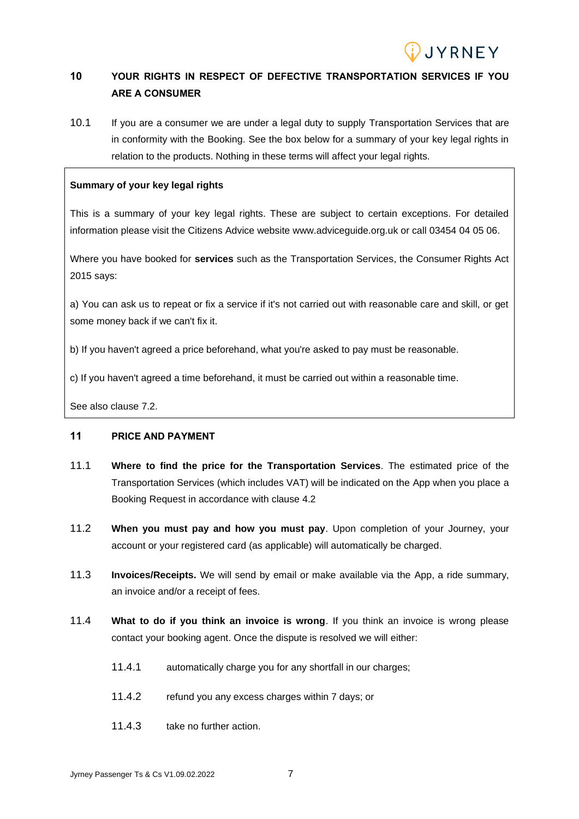

# **10 YOUR RIGHTS IN RESPECT OF DEFECTIVE TRANSPORTATION SERVICES IF YOU ARE A CONSUMER**

10.1 If you are a consumer we are under a legal duty to supply Transportation Services that are in conformity with the Booking. See the box below for a summary of your key legal rights in relation to the products. Nothing in these terms will affect your legal rights.

### **Summary of your key legal rights**

This is a summary of your key legal rights. These are subject to certain exceptions. For detailed information please visit the Citizens Advice website www.adviceguide.org.uk or call 03454 04 05 06.

Where you have booked for **services** such as the Transportation Services, the Consumer Rights Act 2015 says:

a) You can ask us to repeat or fix a service if it's not carried out with reasonable care and skill, or get some money back if we can't fix it.

b) If you haven't agreed a price beforehand, what you're asked to pay must be reasonable.

c) If you haven't agreed a time beforehand, it must be carried out within a reasonable time.

See also clause [7.2.](#page-4-0)

## **11 PRICE AND PAYMENT**

- 11.1 **Where to find the price for the Transportation Services**. The estimated price of the Transportation Services (which includes VAT) will be indicated on the App when you place a Booking Request in accordance with clause 4.2
- 11.2 **When you must pay and how you must pay**. Upon completion of your Journey, your account or your registered card (as applicable) will automatically be charged.
- 11.3 **Invoices/Receipts.** We will send by email or make available via the App, a ride summary, an invoice and/or a receipt of fees.
- 11.4 **What to do if you think an invoice is wrong**. If you think an invoice is wrong please contact your booking agent. Once the dispute is resolved we will either:
	- 11.4.1 automatically charge you for any shortfall in our charges;
	- 11.4.2 refund you any excess charges within 7 days; or
	- 11.4.3 take no further action.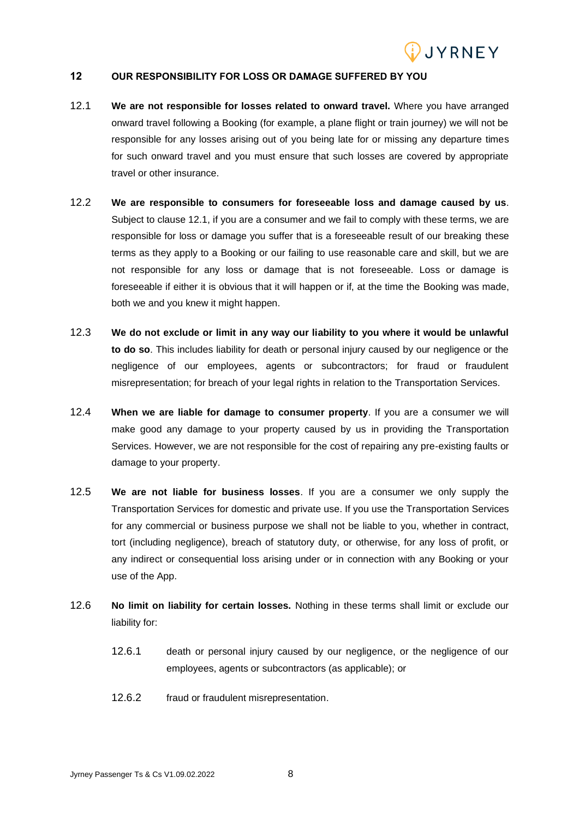

#### **12 OUR RESPONSIBILITY FOR LOSS OR DAMAGE SUFFERED BY YOU**

- 12.1 **We are not responsible for losses related to onward travel.** Where you have arranged onward travel following a Booking (for example, a plane flight or train journey) we will not be responsible for any losses arising out of you being late for or missing any departure times for such onward travel and you must ensure that such losses are covered by appropriate travel or other insurance.
- 12.2 **We are responsible to consumers for foreseeable loss and damage caused by us**. Subject to clause 12.1, if you are a consumer and we fail to comply with these terms, we are responsible for loss or damage you suffer that is a foreseeable result of our breaking these terms as they apply to a Booking or our failing to use reasonable care and skill, but we are not responsible for any loss or damage that is not foreseeable. Loss or damage is foreseeable if either it is obvious that it will happen or if, at the time the Booking was made, both we and you knew it might happen.
- 12.3 **We do not exclude or limit in any way our liability to you where it would be unlawful to do so**. This includes liability for death or personal injury caused by our negligence or the negligence of our employees, agents or subcontractors; for fraud or fraudulent misrepresentation; for breach of your legal rights in relation to the Transportation Services.
- 12.4 **When we are liable for damage to consumer property**. If you are a consumer we will make good any damage to your property caused by us in providing the Transportation Services. However, we are not responsible for the cost of repairing any pre-existing faults or damage to your property.
- 12.5 **We are not liable for business losses**. If you are a consumer we only supply the Transportation Services for domestic and private use. If you use the Transportation Services for any commercial or business purpose we shall not be liable to you, whether in contract, tort (including negligence), breach of statutory duty, or otherwise, for any loss of profit, or any indirect or consequential loss arising under or in connection with any Booking or your use of the App.
- 12.6 **No limit on liability for certain losses.** Nothing in these terms shall limit or exclude our liability for:
	- 12.6.1 death or personal injury caused by our negligence, or the negligence of our employees, agents or subcontractors (as applicable); or
	- 12.6.2 fraud or fraudulent misrepresentation.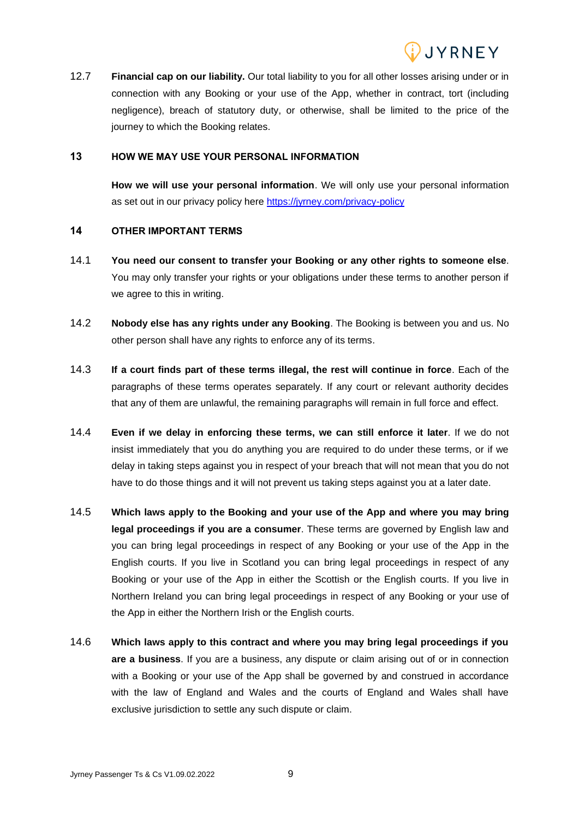

12.7 **Financial cap on our liability.** Our total liability to you for all other losses arising under or in connection with any Booking or your use of the App, whether in contract, tort (including negligence), breach of statutory duty, or otherwise, shall be limited to the price of the journey to which the Booking relates.

#### **13 HOW WE MAY USE YOUR PERSONAL INFORMATION**

**How we will use your personal information**. We will only use your personal information as set out in our privacy policy here<https://jyrney.com/privacy-policy>

#### **14 OTHER IMPORTANT TERMS**

- 14.1 **You need our consent to transfer your Booking or any other rights to someone else**. You may only transfer your rights or your obligations under these terms to another person if we agree to this in writing.
- 14.2 **Nobody else has any rights under any Booking**. The Booking is between you and us. No other person shall have any rights to enforce any of its terms.
- 14.3 **If a court finds part of these terms illegal, the rest will continue in force**. Each of the paragraphs of these terms operates separately. If any court or relevant authority decides that any of them are unlawful, the remaining paragraphs will remain in full force and effect.
- 14.4 **Even if we delay in enforcing these terms, we can still enforce it later**. If we do not insist immediately that you do anything you are required to do under these terms, or if we delay in taking steps against you in respect of your breach that will not mean that you do not have to do those things and it will not prevent us taking steps against you at a later date.
- 14.5 **Which laws apply to the Booking and your use of the App and where you may bring legal proceedings if you are a consumer**. These terms are governed by English law and you can bring legal proceedings in respect of any Booking or your use of the App in the English courts. If you live in Scotland you can bring legal proceedings in respect of any Booking or your use of the App in either the Scottish or the English courts. If you live in Northern Ireland you can bring legal proceedings in respect of any Booking or your use of the App in either the Northern Irish or the English courts.
- 14.6 **Which laws apply to this contract and where you may bring legal proceedings if you are a business**. If you are a business, any dispute or claim arising out of or in connection with a Booking or your use of the App shall be governed by and construed in accordance with the law of England and Wales and the courts of England and Wales shall have exclusive jurisdiction to settle any such dispute or claim.